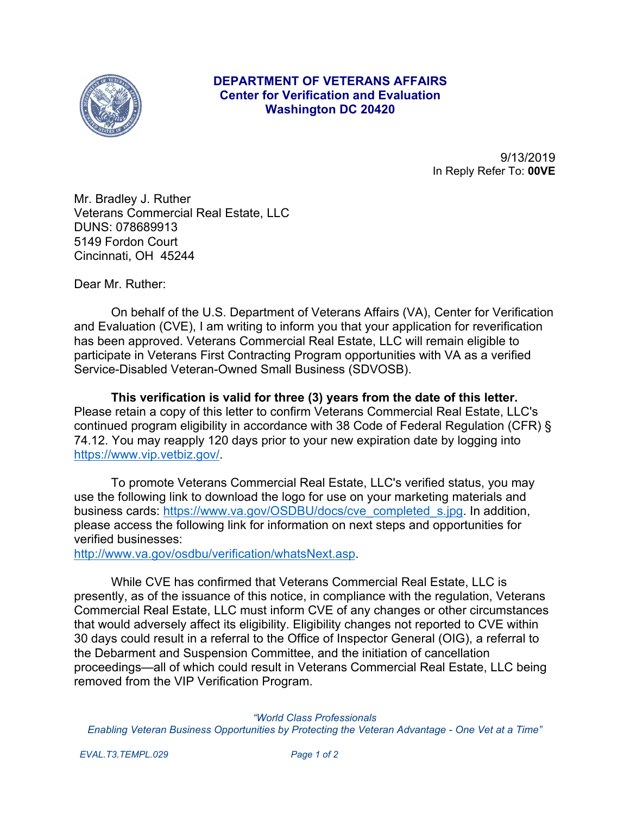

## **DEPARTMENT OF VETERANS AFFAIRS Center for Verification and Evaluation Washington DC 20420**

9/13/2019 In Reply Refer To: **00VE**

Mr. Bradley J. Ruther Veterans Commercial Real Estate, LLC DUNS: 078689913 5149 Fordon Court Cincinnati, OH 45244

Dear Mr. Ruther:

On behalf of the U.S. Department of Veterans Affairs (VA), Center for Verification and Evaluation (CVE), I am writing to inform you that your application for reverification has been approved. Veterans Commercial Real Estate, LLC will remain eligible to participate in Veterans First Contracting Program opportunities with VA as a verified Service-Disabled Veteran-Owned Small Business (SDVOSB).

**This verification is valid for three (3) years from the date of this letter.**  Please retain a copy of this letter to confirm Veterans Commercial Real Estate, LLC's continued program eligibility in accordance with 38 Code of Federal Regulation (CFR) § 74.12. You may reapply 120 days prior to your new expiration date by logging into <https://www.vip.vetbiz.gov/>.

To promote Veterans Commercial Real Estate, LLC's verified status, you may use the following link to download the logo for use on your marketing materials and business cards: [https://www.va.gov/OSDBU/docs/cve\\_completed\\_s.jpg](https://www.va.gov/OSDBU/docs/cve_completed_s.jpg). In addition, please access the following link for information on next steps and opportunities for verified businesses:

<http://www.va.gov/osdbu/verification/whatsNext.asp>.

While CVE has confirmed that Veterans Commercial Real Estate, LLC is presently, as of the issuance of this notice, in compliance with the regulation, Veterans Commercial Real Estate, LLC must inform CVE of any changes or other circumstances that would adversely affect its eligibility. Eligibility changes not reported to CVE within 30 days could result in a referral to the Office of Inspector General (OIG), a referral to the Debarment and Suspension Committee, and the initiation of cancellation proceedings—all of which could result in Veterans Commercial Real Estate, LLC being removed from the VIP Verification Program.

*"World Class Professionals Enabling Veteran Business Opportunities by Protecting the Veteran Advantage - One Vet at a Time"*